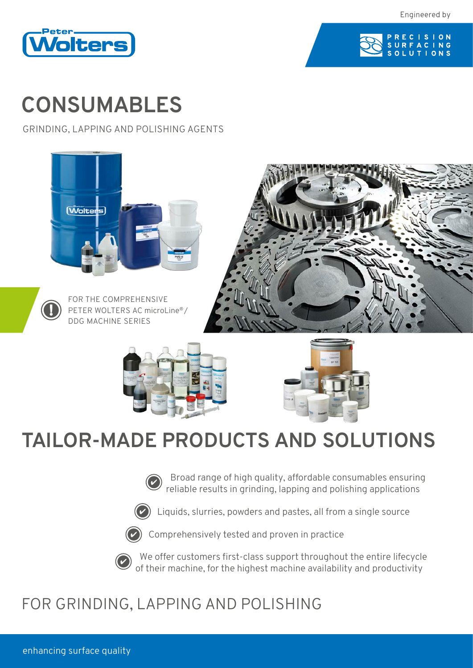Engineered by





# **CONSUMABLES**

GRINDING, LAPPING AND POLISHING AGENTS



## **TAILOR-MADE PRODUCTS AND SOLUTIONS**



Broad range of high quality, affordable consumables ensuring reliable results in grinding, lapping and polishing applications



Liquids, slurries, powders and pastes, all from a single source



Comprehensively tested and proven in practice



We offer customers first-class support throughout the entire lifecycle of their machine, for the highest machine availability and productivity

## FOR GRINDING, LAPPING AND POLISHING

enhancing surface quality